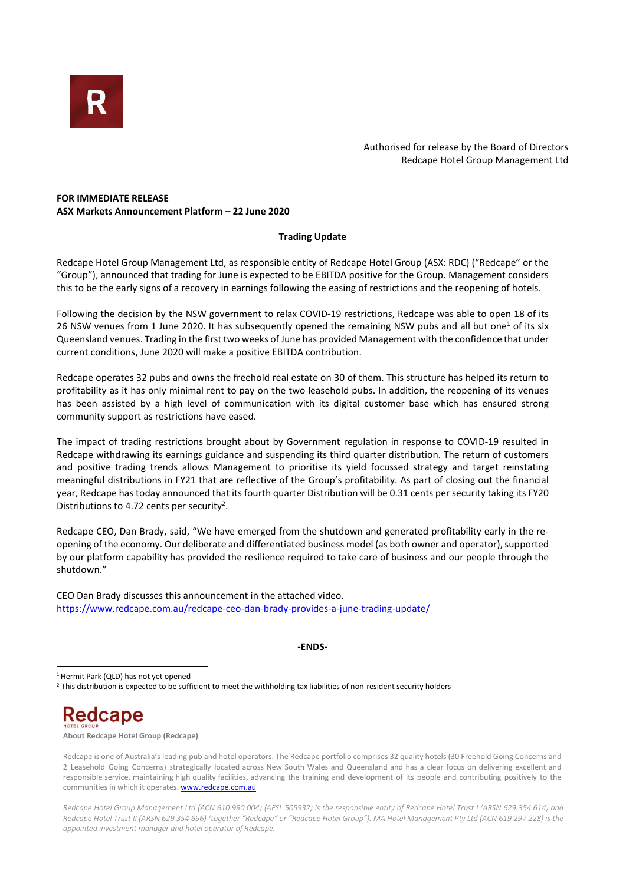

Authorised for release by the Board of Directors Redcape Hotel Group Management Ltd

# FOR IMMEDIATE RELEASE ASX Markets Announcement Platform – 22 June 2020

## Trading Update

Redcape Hotel Group Management Ltd, as responsible entity of Redcape Hotel Group (ASX: RDC) ("Redcape" or the "Group"), announced that trading for June is expected to be EBITDA positive for the Group. Management considers this to be the early signs of a recovery in earnings following the easing of restrictions and the reopening of hotels.

Following the decision by the NSW government to relax COVID-19 restrictions, Redcape was able to open 18 of its 26 NSW venues from 1 June 2020. It has subsequently opened the remaining NSW pubs and all but one<sup>1</sup> of its six Queensland venues. Trading in the first two weeks of June has provided Management with the confidence that under current conditions, June 2020 will make a positive EBITDA contribution.

Redcape operates 32 pubs and owns the freehold real estate on 30 of them. This structure has helped its return to profitability as it has only minimal rent to pay on the two leasehold pubs. In addition, the reopening of its venues has been assisted by a high level of communication with its digital customer base which has ensured strong community support as restrictions have eased.

The impact of trading restrictions brought about by Government regulation in response to COVID-19 resulted in Redcape withdrawing its earnings guidance and suspending its third quarter distribution. The return of customers and positive trading trends allows Management to prioritise its yield focussed strategy and target reinstating meaningful distributions in FY21 that are reflective of the Group's profitability. As part of closing out the financial year, Redcape has today announced that its fourth quarter Distribution will be 0.31 cents per security taking its FY20 Distributions to 4.72 cents per security<sup>2</sup>.

Redcape CEO, Dan Brady, said, "We have emerged from the shutdown and generated profitability early in the reopening of the economy. Our deliberate and differentiated business model (as both owner and operator), supported by our platform capability has provided the resilience required to take care of business and our people through the shutdown."

CEO Dan Brady discusses this announcement in the attached video. https://www.redcape.com.au/redcape-ceo-dan-brady-provides-a-june-trading-update/

#### -ENDS-

<sup>1</sup>Hermit Park (QLD) has not yet opened

<sup>2</sup> This distribution is expected to be sufficient to meet the withholding tax liabilities of non-resident security holders

Redcape

About Redcape Hotel Group (Redcape)

Redcape is one of Australia's leading pub and hotel operators. The Redcape portfolio comprises 32 quality hotels (30 Freehold Going Concerns and 2 Leasehold Going Concerns) strategically located across New South Wales and Queensland and has a clear focus on delivering excellent and responsible service, maintaining high quality facilities, advancing the training and development of its people and contributing positively to the communities in which it operates. **www.redcape.com.au** 

Redcape Hotel Group Management Ltd (ACN 610 990 004) (AFSL 505932) is the responsible entity of Redcape Hotel Trust I (ARSN 629 354 614) and Redcape Hotel Trust II (ARSN 629 354 696) (together "Redcape" or "Redcape Hotel Group"). MA Hotel Management Pty Ltd (ACN 619 297 228) is the appointed investment manager and hotel operator of Redcape.